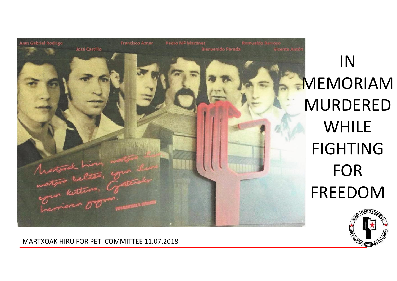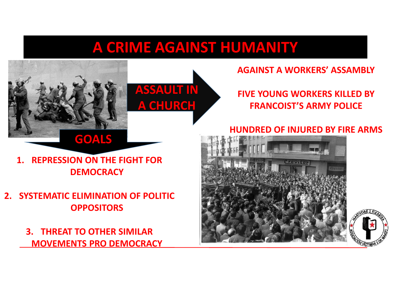# **A CRIME AGAINST HUMANITY**





**AGAINST A WORKERS' ASSAMBLY**

#### **FIVE YOUNG WORKERS KILLED BY FRANCOIST'S ARMY POLICE**

## **1. REPRESSION ON THE FIGHT FOR DEMOCRACY**

**2. SYSTEMATIC ELIMINATION OF POLITIC OPPOSITORS**

> **3. THREAT TO OTHER SIMILAR MOVEMENTS PRO DEMOCRACY**

### **HUNDRED OF INJURED BY FIRE ARMS**



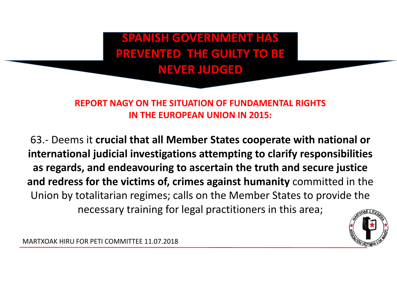**SPANISH GOVERNMENT HAS PREVENTED THE GUILTY TO BE NEVER JUDGED**

#### **REPORT NAGY ON THE SITUATION OF FUNDAMENTAL RIGHTS IN THE EUROPEAN UNION IN 2015:**

63.- Deems it **crucial that all Member States cooperate with national or international judicial investigations attempting to clarify responsibilities as regards, and endeavouring to ascertain the truth and secure justice and redress for the victims of, crimes against humanity** committed in the Union by totalitarian regimes; calls on the Member States to provide the necessary training for legal practitioners in this area;

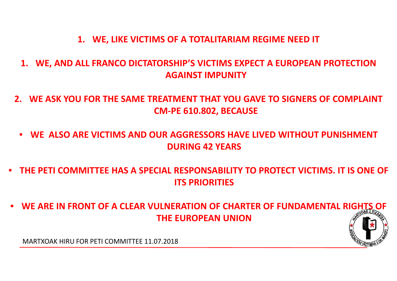#### **1. WE, LIKE VICTIMS OF A TOTALITARIAM REGIME NEED IT**

- **1. WE, AND ALL FRANCO DICTATORSHIP'S VICTIMS EXPECT A EUROPEAN PROTECTION AGAINST IMPUNITY**
- **2. WE ASK YOU FOR THE SAME TREATMENT THAT YOU GAVE TO SIGNERS OF COMPLAINT CM-PE 610.802, BECAUSE**
- **WE ALSO ARE VICTIMS AND OUR AGGRESSORS HAVE LIVED WITHOUT PUNISHMENT DURING 42 YEARS**
- **THE PETI COMMITTEE HAS A SPECIAL RESPONSABILITY TO PROTECT VICTIMS. IT IS ONE OF ITS PRIORITIES**
- **WE ARE IN FRONT OF A CLEAR VULNERATION OF CHARTER OF FUNDAMENTAL RIGHTS OF THE EUROPEAN UNION**

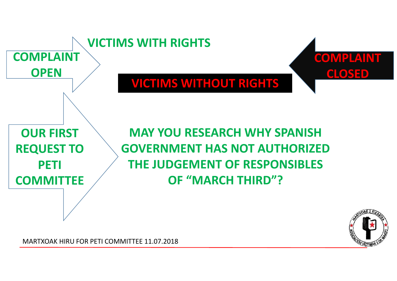

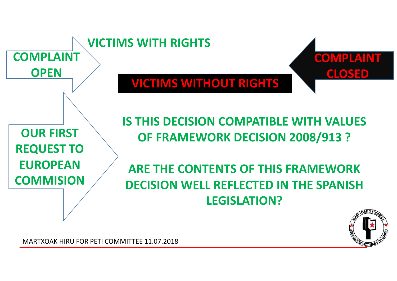

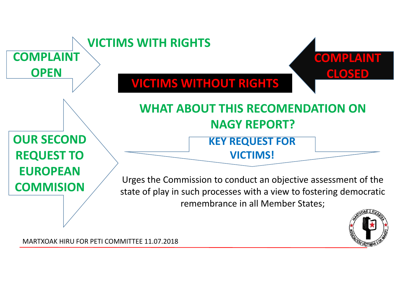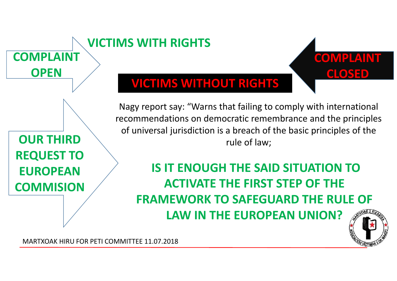

**COMPLAINT**

**OPEN**

## **VICTIMS WITHOUT RIGHTS**

**VICTIMS WITH RIGHTS**

Nagy report say: "Warns that failing to comply with international recommendations on democratic remembrance and the principles of universal jurisdiction is a breach of the basic principles of the rule of law;

**IS IT ENOUGH THE SAID SITUATION TO ACTIVATE THE FIRST STEP OF THE FRAMEWORK TO SAFEGUARD THE RULE OF LAW IN THE EUROPEAN UNION?**



**COMPLAINT**

**CLOSED**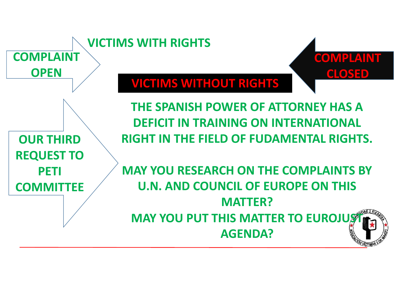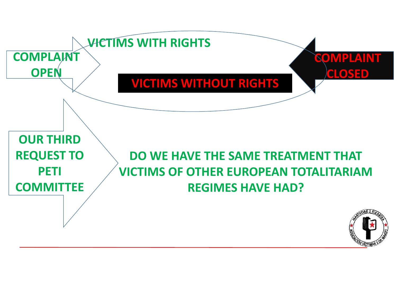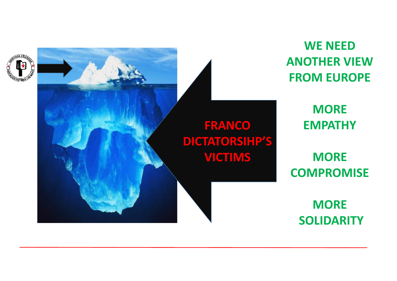



**WE NEED ANOTHER VIEW FROM EUROPE**

> **MORE EMPATHY**

**MORE COMPROMISE**

> **MORE SOLIDARITY**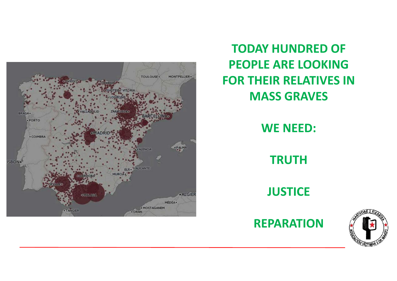

**TODAY HUNDRED OF PEOPLE ARE LOOKING FOR THEIR RELATIVES IN MASS GRAVES**

**WE NEED:**

**TRUTH**

**JUSTICE**



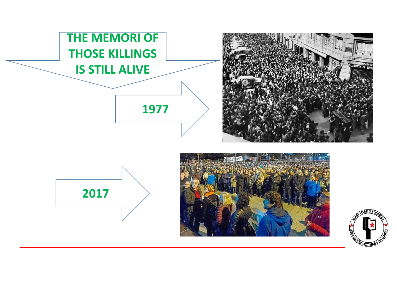